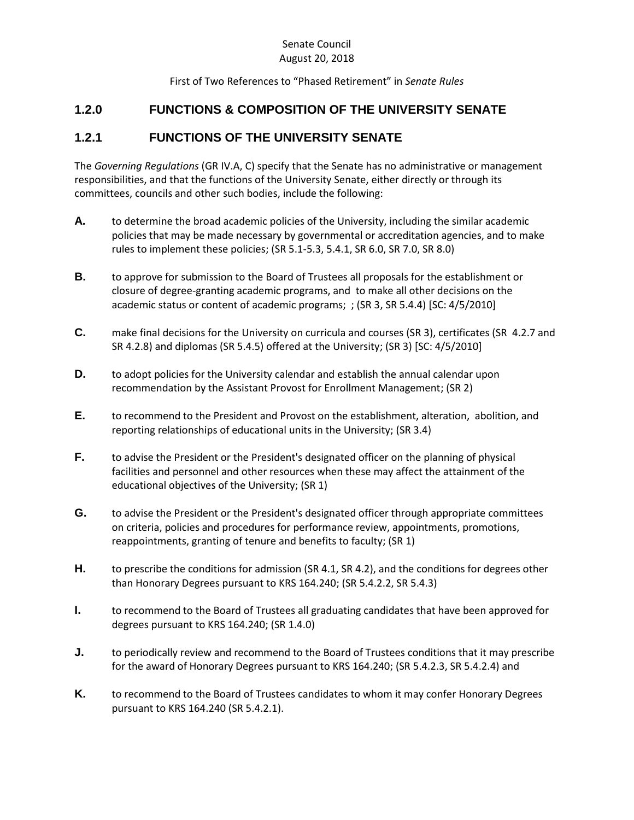## Senate Council August 20, 2018

First of Two References to "Phased Retirement" in *Senate Rules*

## **1.2.0 FUNCTIONS & COMPOSITION OF THE UNIVERSITY SENATE**

## **1.2.1 FUNCTIONS OF THE UNIVERSITY SENATE**

The *Governing Regulations* (GR IV.A, C) specify that the Senate has no administrative or management responsibilities, and that the functions of the University Senate, either directly or through its committees, councils and other such bodies, include the following:

- **A.** to determine the broad academic policies of the University, including the similar academic policies that may be made necessary by governmental or accreditation agencies, and to make rules to implement these policies; (SR 5.1-5.3, 5.4.1, SR 6.0, SR 7.0, SR 8.0)
- **B.** to approve for submission to the Board of Trustees all proposals for the establishment or closure of degree-granting academic programs, and to make all other decisions on the academic status or content of academic programs; ; (SR 3, SR 5.4.4) [SC: 4/5/2010]
- **C.** make final decisions for the University on curricula and courses (SR 3), certificates (SR 4.2.7 and SR 4.2.8) and diplomas (SR 5.4.5) offered at the University; (SR 3) [SC: 4/5/2010]
- **D.** to adopt policies for the University calendar and establish the annual calendar upon recommendation by the Assistant Provost for Enrollment Management; (SR 2)
- **E.** to recommend to the President and Provost on the establishment, alteration, abolition, and reporting relationships of educational units in the University; (SR 3.4)
- **F.** to advise the President or the President's designated officer on the planning of physical facilities and personnel and other resources when these may affect the attainment of the educational objectives of the University; (SR 1)
- **G.** to advise the President or the President's designated officer through appropriate committees on criteria, policies and procedures for performance review, appointments, promotions, reappointments, granting of tenure and benefits to faculty; (SR 1)
- **H.** to prescribe the conditions for admission (SR 4.1, SR 4.2), and the conditions for degrees other than Honorary Degrees pursuant to KRS 164.240; (SR 5.4.2.2, SR 5.4.3)
- **I.** to recommend to the Board of Trustees all graduating candidates that have been approved for degrees pursuant to KRS 164.240; (SR 1.4.0)
- **J.** to periodically review and recommend to the Board of Trustees conditions that it may prescribe for the award of Honorary Degrees pursuant to KRS 164.240; (SR 5.4.2.3, SR 5.4.2.4) and
- **K.** to recommend to the Board of Trustees candidates to whom it may confer Honorary Degrees pursuant to KRS 164.240 (SR 5.4.2.1).